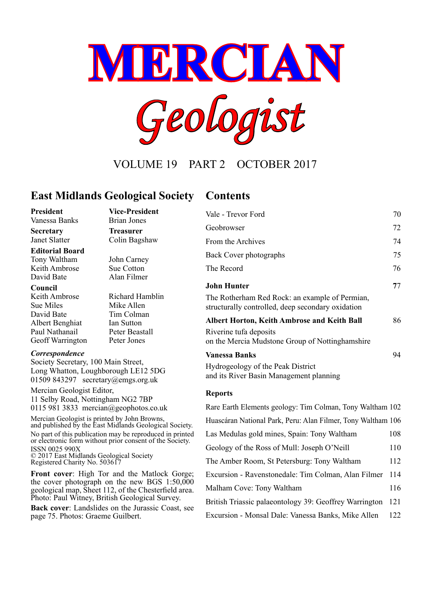

VOLUME 19 PART 2 OCTOBER 2017

# **East Midlands Geological Society Contents**

Alan Filmer

Tim Colman

#### **President Vice-President**

Vanessa Banks Brian Jones

**Secretary Treasurer** Janet Slatter Colin Bagshaw

#### **Editorial Board**

Tony Waltham John Carney Keith Ambrose Sue Cotton<br>David Bate Alan Filmer

#### **Council**

Keith Ambrose Richard Hamblin<br>Sue Miles Mike Allen Sue Miles<br>
David Bate<br>
Tim Colman Albert Benghiat Ian Sutton Paul Nathanail Peter Beastall Geoff Warrington Peter Jones

#### *Correspondence*

Society Secretary, 100 Main Street, Long Whatton, Loughborough LE12 5DG 01509 843297 secretary@emgs.org.uk

Mercian Geologist Editor, 11 Selby Road, Nottingham NG2 7BP 0115 981 3833 mercian@geophotos.co.uk

Mercian Geologist is printed by John Browns, and published by the East Midlands Geological Society. No part of this publication may be reproduced in printed or electronic form without prior consent of the Society. ISSN 0025 990X © 2017 East Midlands Geological Society Registered Charity No. 503617

**Front cover**: High Tor and the Matlock Gorge; the cover photograph on the new BGS 1:50,000 geological map, Sheet 112, of the Chesterfield area. Photo: Paul Witney, British Geological Survey.

**Back cover**: Landslides on the Jurassic Coast, see page 75. Photos: Graeme Guilbert.

| Vale - Trevor Ford                                                                                  | 70 |
|-----------------------------------------------------------------------------------------------------|----|
| Geobrowser                                                                                          | 72 |
| From the Archives                                                                                   | 74 |
| Back Cover photographs                                                                              | 75 |
| The Record                                                                                          | 76 |
| <b>John Hunter</b>                                                                                  | 77 |
| The Rotherham Red Rock: an example of Permian,<br>structurally controlled, deep secondary oxidation |    |
| <b>Albert Horton, Keith Ambrose and Keith Ball</b>                                                  | 86 |
| Riverine tufa deposits<br>on the Mercia Mudstone Group of Nottinghamshire                           |    |
| <b>Vanessa Banks</b>                                                                                | 94 |
|                                                                                                     |    |

Hydrogeology of the Peak District and its River Basin Management planning

#### **Reports**

| Rare Earth Elements geology: Tim Colman, Tony Waltham 102    |      |
|--------------------------------------------------------------|------|
| Huascáran National Park, Peru: Alan Filmer, Tony Waltham 106 |      |
| Las Medulas gold mines, Spain: Tony Waltham                  | 108  |
| Geology of the Ross of Mull: Joseph O'Neill                  | 110  |
| The Amber Room, St Petersburg: Tony Waltham                  | 112  |
| Excursion - Ravenstonedale: Tim Colman, Alan Filmer          | 114  |
| Malham Cove: Tony Waltham                                    | 116  |
| British Triassic palaeontology 39: Geoffrey Warrington       | 121  |
| Excursion - Monsal Dale: Vanessa Banks, Mike Allen           | 122. |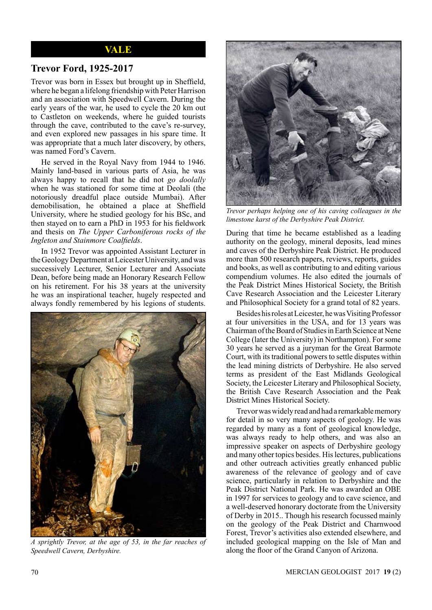#### **VALE**

#### **Trevor Ford, 1925-2017**

Trevor was born in Essex but brought up in Sheffield, where he began a lifelong friendship with Peter Harrison and an association with Speedwell Cavern. During the early years of the war, he used to cycle the 20 km out to Castleton on weekends, where he guided tourists through the cave, contributed to the cave's re-survey, and even explored new passages in his spare time. It was appropriate that a much later discovery, by others, was named Ford's Cavern.

He served in the Royal Navy from 1944 to 1946. Mainly land-based in various parts of Asia, he was always happy to recall that he did not *go doolally* when he was stationed for some time at Deolali (the notoriously dreadful place outside Mumbai). After demobilisation, he obtained a place at Sheffield University, where he studied geology for his BSc, and then stayed on to earn a PhD in 1953 for his fieldwork and thesis on *The Upper Carboniferous rocks of the Ingleton and Stainmore Coalfields*.

In 1952 Trevor was appointed Assistant Lecturer in the Geology Department at Leicester University, and was successively Lecturer, Senior Lecturer and Associate Dean, before being made an Honorary Research Fellow on his retirement. For his 38 years at the university he was an inspirational teacher, hugely respected and always fondly remembered by his legions of students.



*A sprightly Trevor, at the age of 53, in the far reaches of Speedwell Cavern, Derbyshire.*



*Trevor perhaps helping one of his caving colleagues in the limestone karst of the Derbyshire Peak District.*

During that time he became established as a leading authority on the geology, mineral deposits, lead mines and caves of the Derbyshire Peak District. He produced more than 500 research papers, reviews, reports, guides and books, as well as contributing to and editing various compendium volumes. He also edited the journals of the Peak District Mines Historical Society, the British Cave Research Association and the Leicester Literary and Philosophical Society for a grand total of 82 years.

Besides his roles at Leicester, he was Visiting Professor at four universities in the USA, and for 13 years was Chairman of the Board of Studies in Earth Science at Nene College (later the University) in Northampton). For some 30 years he served as a juryman for the Great Barmote Court, with its traditional powers to settle disputes within the lead mining districts of Derbyshire. He also served terms as president of the East Midlands Geological Society, the Leicester Literary and Philosophical Society, the British Cave Research Association and the Peak District Mines Historical Society.

Trevor was widely read and had a remarkable memory for detail in so very many aspects of geology. He was regarded by many as a font of geological knowledge, was always ready to help others, and was also an impressive speaker on aspects of Derbyshire geology and many other topics besides. His lectures, publications and other outreach activities greatly enhanced public awareness of the relevance of geology and of cave science, particularly in relation to Derbyshire and the Peak District National Park. He was awarded an OBE in 1997 for services to geology and to cave science, and a well-deserved honorary doctorate from the University of Derby in 2015.. Though his research focussed mainly on the geology of the Peak District and Charnwood Forest, Trevor's activities also extended elsewhere, and included geological mapping on the Isle of Man and along the floor of the Grand Canyon of Arizona.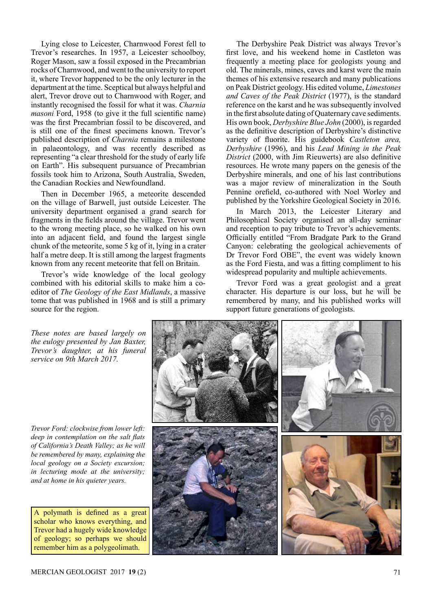Lying close to Leicester, Charnwood Forest fell to Trevor's researches. In 1957, a Leicester schoolboy, Roger Mason, saw a fossil exposed in the Precambrian rocks of Charnwood, and went to the university to report it, where Trevor happened to be the only lecturer in the department at the time. Sceptical but always helpful and alert, Trevor drove out to Charnwood with Roger, and instantly recognised the fossil for what it was. *Charnia masoni* Ford, 1958 (to give it the full scientific name) was the first Precambrian fossil to be discovered, and is still one of the finest specimens known. Trevor's published description of *Charnia* remains a milestone in palaeontology, and was recently described as representing "a clear threshold for the study of early life on Earth". His subsequent pursuance of Precambrian fossils took him to Arizona, South Australia, Sweden, the Canadian Rockies and Newfoundland.

Then in December 1965, a meteorite descended on the village of Barwell, just outside Leicester. The university department organised a grand search for fragments in the fields around the village. Trevor went to the wrong meeting place, so he walked on his own into an adjacent field, and found the largest single chunk of the meteorite, some 5 kg of it, lying in a crater half a metre deep. It is still among the largest fragments known from any recent meteorite that fell on Britain.

Trevor's wide knowledge of the local geology combined with his editorial skills to make him a coeditor of *The Geology of the East Midlands*, a massive tome that was published in 1968 and is still a primary source for the region.

The Derbyshire Peak District was always Trevor's first love, and his weekend home in Castleton was frequently a meeting place for geologists young and old. The minerals, mines, caves and karst were the main themes of his extensive research and many publications on Peak District geology. His edited volume, *Limestones and Caves of the Peak District* (1977), is the standard reference on the karst and he was subsequently involved in the first absolute dating of Quaternary cave sediments. His own book, *Derbyshire Blue John* (2000), is regarded as the definitive description of Derbyshire's distinctive variety of fluorite. His guidebook *Castleton area, Derbyshire* (1996), and his *Lead Mining in the Peak District* (2000, with Jim Rieuwerts) are also definitive resources. He wrote many papers on the genesis of the Derbyshire minerals, and one of his last contributions was a major review of mineralization in the South Pennine orefield, co-authored with Noel Worley and published by the Yorkshire Geological Society in 2016.

In March 2013, the Leicester Literary and Philosophical Society organised an all-day seminar and reception to pay tribute to Trevor's achievements. Officially entitled "From Bradgate Park to the Grand Canyon: celebrating the geological achievements of Dr Trevor Ford OBE", the event was widely known as the Ford Fiesta, and was a fitting compliment to his widespread popularity and multiple achievements.

Trevor Ford was a great geologist and a great character. His departure is our loss, but he will be remembered by many, and his published works will support future generations of geologists.

![](_page_2_Picture_6.jpeg)

*These notes are based largely on the eulogy presented by Jan Baxter, Trevor's daughter, at his funeral service on 9th March 2017.*

*Trevor Ford: clockwise from lower left: deep in contemplation on the salt flats of California's Death Valley; as he will be remembered by many, explaining the local geology on a Society excursion; in lecturing mode at the university; and at home in his quieter years.*

A polymath is defined as a great scholar who knows everything, and Trevor had a hugely wide knowledge of geology; so perhaps we should remember him as a polygeolimath.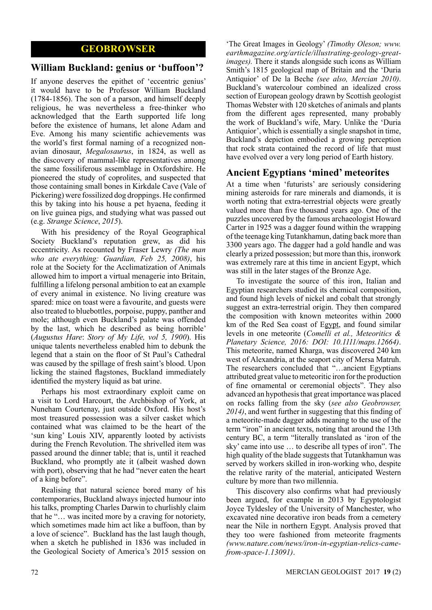# **GEOBROWSER**

### **William Buckland: genius or 'buffoon'?**

If anyone deserves the epithet of 'eccentric genius' it would have to be Professor William Buckland (1784-1856). The son of a parson, and himself deeply religious, he was nevertheless a free-thinker who acknowledged that the Earth supported life long before the existence of humans, let alone Adam and Eve. Among his many scientific achievements was the world's first formal naming of a recognized nonavian dinosaur, *Megalosaurus*, in 1824, as well as the discovery of mammal-like representatives among the same fossiliferous assemblage in Oxfordshire. He pioneered the study of coprolites, and suspected that those containing small bones in Kirkdale Cave (Vale of Pickering) were fossilized dog droppings. He confirmed this by taking into his house a pet hyaena, feeding it on live guinea pigs, and studying what was passed out (e.g. *Strange Science*, *2015*).

With his presidency of the Royal Geographical Society Buckland's reputation grew, as did his eccentricity. As recounted by Fraser Lewry *(The man who ate everything: Guardian, Feb 25, 2008)*, his role at the Society for the Acclimatization of Animals allowed him to import a virtual menagerie into Britain, fulfilling a lifelong personal ambition to eat an example of every animal in existence. No living creature was spared: mice on toast were a favourite, and guests were also treated to bluebottles, porpoise, puppy, panther and mole; although even Buckland's palate was offended by the last, which he described as being horrible' (*Augustus Hare*: *Story of My Life, vol 5, 1900*). His unique talents nevertheless enabled him to debunk the legend that a stain on the floor of St Paul's Cathedral was caused by the spillage of fresh saint's blood. Upon licking the stained flagstones, Buckland immediately identified the mystery liquid as bat urine.

Perhaps his most extraordinary exploit came on a visit to Lord Harcourt, the Archbishop of York, at Nuneham Courtenay, just outside Oxford. His host's most treasured possession was a silver casket which contained what was claimed to be the heart of the 'sun king' Louis XIV, apparently looted by activists during the French Revolution. The shrivelled item was passed around the dinner table; that is, until it reached Buckland, who promptly ate it (albeit washed down with port), observing that he had "never eaten the heart of a king before".

Realising that natural science bored many of his contemporaries, Buckland always injected humour into his talks, prompting Charles Darwin to churlishly claim that he "… was incited more by a craving for notoriety, which sometimes made him act like a buffoon, than by a love of science". Buckland has the last laugh though, when a sketch he published in 1836 was included in the Geological Society of America's 2015 session on

'The Great Images in Geology' *(Timothy Oleson; www. earthmagazine.org/article/illustrating-geology-greatimages).* There it stands alongside such icons as William Smith's 1815 geological map of Britain and the 'Duria Antiquior' of De la Beche *(see also, Mercian 2010)*. Buckland's watercolour combined an idealized cross section of European geology drawn by Scottish geologist Thomas Webster with 120 sketches of animals and plants from the different ages represented, many probably the work of Buckland's wife, Mary. Unlike the 'Duria Antiquior', which is essentially a single snapshot in time, Buckland's depiction embodied a growing perception that rock strata contained the record of life that must have evolved over a very long period of Earth history.

# **Ancient Egyptians 'mined' meteorites**

At a time when 'futurists' are seriously considering mining asteroids for rare minerals and diamonds, it is worth noting that extra-terrestrial objects were greatly valued more than five thousand years ago. One of the puzzles uncovered by the famous archaeologist Howard Carter in 1925 was a dagger found within the wrapping of the teenage king Tutankhamun, dating back more than 3300 years ago. The dagger had a gold handle and was clearly a prized possession; but more than this, ironwork was extremely rare at this time in ancient Egypt, which was still in the later stages of the Bronze Age.

To investigate the source of this iron, Italian and Egyptian researchers studied its chemical composition, and found high levels of nickel and cobalt that strongly suggest an extra-terrestrial origin. They then compared the composition with known meteorites within 2000 km of the Red Sea coast of Egypt, and found similar levels in one meteorite (*Comelli et al., Meteoritics & Planetary Science, 2016: DOI: 10.1111/maps.12664)*. This meteorite, named Kharga, was discovered 240 km west of Alexandria, at the seaport city of Mersa Matruh. The researchers concluded that "…ancient Egyptians attributed great value to meteoritic iron for the production of fine ornamental or ceremonial objects". They also advanced an hypothesis that great importance was placed on rocks falling from the sky (*see also Geobrowser, 2014)*, and went further in suggesting that this finding of a meteorite-made dagger adds meaning to the use of the term "iron" in ancient texts, noting that around the 13th century BC, a term "literally translated as 'iron of the sky' came into use … to describe all types of iron". The high quality of the blade suggests that Tutankhamun was served by workers skilled in iron-working who, despite the relative rarity of the material, anticipated Western culture by more than two millennia.

This discovery also confirms what had previously been argued, for example in 2013 by Egyptologist Joyce Tyldesley of the University of Manchester, who excavated nine decorative iron beads from a cemetery near the Nile in northern Egypt. Analysis proved that they too were fashioned from meteorite fragments *(www.nature.com/news/iron-in-egyptian-relics-camefrom-space-1.13091)*.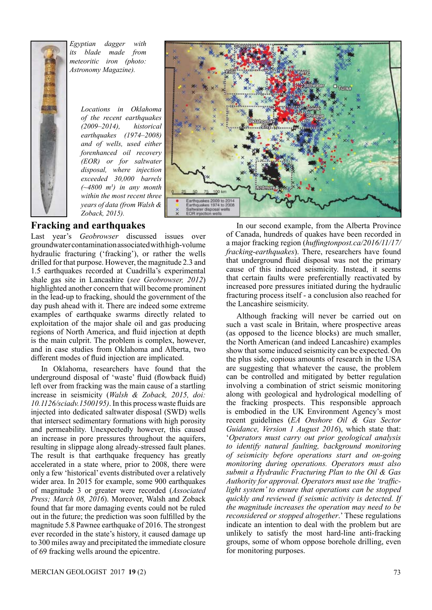![](_page_4_Picture_0.jpeg)

*Egyptian dagger with its blade made from meteoritic iron (photo: Astronomy Magazine).*

> *Locations in Oklahoma of the recent earthquakes (2009–2014), historical earthquakes (1974–2008) and of wells, used either forenhanced oil recovery (EOR) or for saltwater disposal, where injection exceeded 30,000 barrels (~4800 m3 ) in any month within the most recent three years of data (from Walsh & Zoback, 2015).*

![](_page_4_Figure_3.jpeg)

# **Fracking and earthquakes**

Last year's *Geobrowser* discussed issues over groundwater contamination associated with high-volume hydraulic fracturing ('fracking'), or rather the wells drilled for that purpose. However, the magnitude 2.3 and 1.5 earthquakes recorded at Cuadrilla's experimental shale gas site in Lancashire (*see Geobrowser, 2012*) highlighted another concern that will become prominent in the lead-up to fracking, should the government of the day push ahead with it. There are indeed some extreme examples of earthquake swarms directly related to exploitation of the major shale oil and gas producing regions of North America, and fluid injection at depth is the main culprit. The problem is complex, however, and in case studies from Oklahoma and Alberta, two different modes of fluid injection are implicated.

In Oklahoma, researchers have found that the underground disposal of 'waste' fluid (flowback fluid) left over from fracking was the main cause of a startling increase in seismicity (*Walsh & Zoback, 2015, doi: 10.1126/sciadv.1500195)*. In this process waste fluids are injected into dedicated saltwater disposal (SWD) wells that intersect sedimentary formations with high porosity and permeability. Unexpectedly however, this caused an increase in pore pressures throughout the aquifers, resulting in slippage along already-stressed fault planes. The result is that earthquake frequency has greatly accelerated in a state where, prior to 2008, there were only a few 'historical' events distributed over a relatively wider area. In 2015 for example, some 900 earthquakes of magnitude 3 or greater were recorded (*Associated Press; March 08, 2016*). Moreover, Walsh and Zoback found that far more damaging events could not be ruled out in the future; the prediction was soon fulfilled by the magnitude 5.8 Pawnee earthquake of 2016. The strongest ever recorded in the state's history, it caused damage up to 300 miles away and precipitated the immediate closure of 69 fracking wells around the epicentre.

In our second example, from the Alberta Province of Canada, hundreds of quakes have been recorded in a major fracking region (*huffingtonpost.ca/2016/11/17/ fracking-earthquakes*). There, researchers have found that underground fluid disposal was not the primary cause of this induced seismicity. Instead, it seems that certain faults were preferentially reactivated by increased pore pressures initiated during the hydraulic fracturing process itself - a conclusion also reached for the Lancashire seismicity.

Although fracking will never be carried out on such a vast scale in Britain, where prospective areas (as opposed to the licence blocks) are much smaller, the North American (and indeed Lancashire) examples show that some induced seismicity can be expected. On the plus side, copious amounts of research in the USA are suggesting that whatever the cause, the problem can be controlled and mitigated by better regulation involving a combination of strict seismic monitoring along with geological and hydrological modelling of the fracking prospects. This responsible approach is embodied in the UK Environment Agency's most recent guidelines (*EA Onshore Oil & Gas Sector Guidance, Version 1 August 2016*), which state that: '*Operators must carry out prior geological analysis to identify natural faulting, background monitoring of seismicity before operations start and on-going monitoring during operations. Operators must also submit a Hydraulic Fracturing Plan to the Oil & Gas Authority for approval. Operators must use the 'trafficlight system' to ensure that operations can be stopped quickly and reviewed if seismic activity is detected. If the magnitude increases the operation may need to be reconsidered or stopped altogether*.' These regulations indicate an intention to deal with the problem but are unlikely to satisfy the most hard-line anti-fracking groups, some of whom oppose borehole drilling, even for monitoring purposes.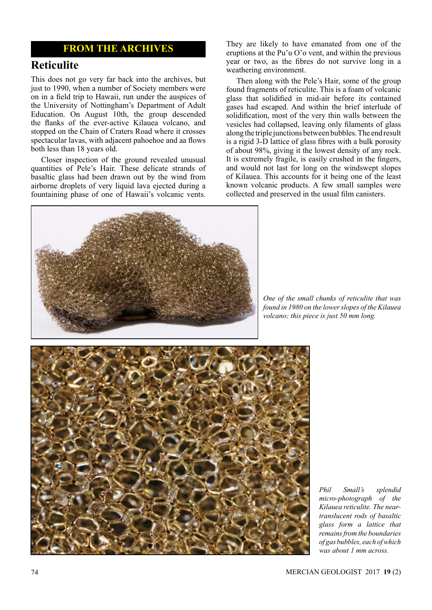## **FROM THE ARCHIVES**

# **Reticulite**

This does not go very far back into the archives, but just to 1990, when a number of Society members were on in a field trip to Hawaii, run under the auspices of the University of Nottingham's Department of Adult Education. On August 10th, the group descended the flanks of the ever-active Kilauea volcano, and stopped on the Chain of Craters Road where it crosses spectacular lavas, with adjacent pahoehoe and aa flows both less than 18 years old.

Closer inspection of the ground revealed unusual quantities of Pele's Hair. These delicate strands of basaltic glass had been drawn out by the wind from airborne droplets of very liquid lava ejected during a fountaining phase of one of Hawaii's volcanic vents. They are likely to have emanated from one of the eruptions at the Pu'u  $O'$  vent, and within the previous year or two, as the fibres do not survive long in a weathering environment.

Then along with the Pele's Hair, some of the group found fragments of reticulite. This is a foam of volcanic glass that solidified in mid-air before its contained gases had escaped. And within the brief interlude of solidification, most of the very thin walls between the vesicles had collapsed, leaving only filaments of glass along the triple junctions between bubbles. The end result is a rigid 3-D lattice of glass fibres with a bulk porosity of about 98%, giving it the lowest density of any rock. It is extremely fragile, is easily crushed in the fingers, and would not last for long on the windswept slopes of Kilauea. This accounts for it being one of the least known volcanic products. A few small samples were collected and preserved in the usual film canisters.

![](_page_5_Picture_6.jpeg)

*One of the small chunks of reticulite that was found in 1980 on the lower slopes of the Kilauea volcano; this piece is just 50 mm long.*

![](_page_5_Picture_8.jpeg)

*Phil Small's splendid micro-photograph of the Kilauea reticulite. The neartranslucent rods of basaltic glass form a lattice that remains from the boundaries of gas bubbles, each of which was about 1 mm across.*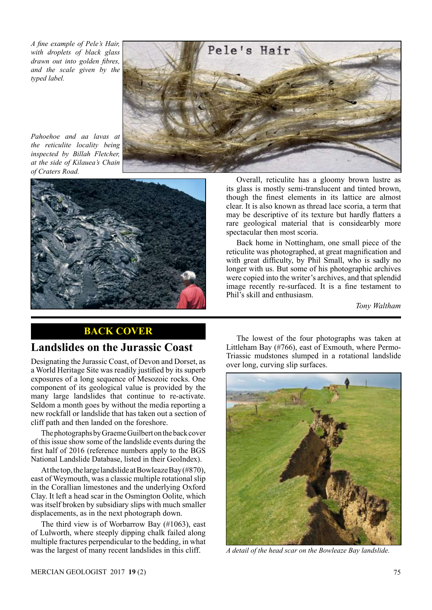*A fine example of Pele's Hair, with droplets of black glass drawn out into golden fibres, and the scale given by the typed label.*

![](_page_6_Picture_1.jpeg)

*Pahoehoe and aa lavas at the reticulite locality being inspected by Billah Fletcher, at the side of Kilauea's Chain of Craters Road.* 

![](_page_6_Picture_3.jpeg)

Overall, reticulite has a gloomy brown lustre as its glass is mostly semi-translucent and tinted brown, though the finest elements in its lattice are almost clear. It is also known as thread lace scoria, a term that may be descriptive of its texture but hardly flatters a rare geological material that is considearbly more spectacular then most scoria.

Back home in Nottingham, one small piece of the reticulite was photographed, at great magnification and with great difficulty, by Phil Small, who is sadly no longer with us. But some of his photographic archives were copied into the writer's archives, and that splendid image recently re-surfaced. It is a fine testament to Phil's skill and enthusiasm.

*Tony Waltham*

# **BACK COVER**

# **Landslides on the Jurassic Coast**

Designating the Jurassic Coast, of Devon and Dorset, as a World Heritage Site was readily justified by its superb exposures of a long sequence of Mesozoic rocks. One component of its geological value is provided by the many large landslides that continue to re-activate. Seldom a month goes by without the media reporting a new rockfall or landslide that has taken out a section of cliff path and then landed on the foreshore.

The photographs by Graeme Guilbert on the back cover of this issue show some of the landslide events during the first half of 2016 (reference numbers apply to the BGS National Landslide Database, listed in their GeoIndex).

At the top, the large landslide at Bowleaze Bay (#870), east of Weymouth, was a classic multiple rotational slip in the Corallian limestones and the underlying Oxford Clay. It left a head scar in the Osmington Oolite, which was itself broken by subsidiary slips with much smaller displacements, as in the next photograph down.

The third view is of Worbarrow Bay (#1063), east of Lulworth, where steeply dipping chalk failed along multiple fractures perpendicular to the bedding, in what was the largest of many recent landslides in this cliff.

The lowest of the four photographs was taken at Littleham Bay (#766), east of Exmouth, where Permo-Triassic mudstones slumped in a rotational landslide over long, curving slip surfaces.

![](_page_6_Picture_14.jpeg)

*A detail of the head scar on the Bowleaze Bay landslide.*